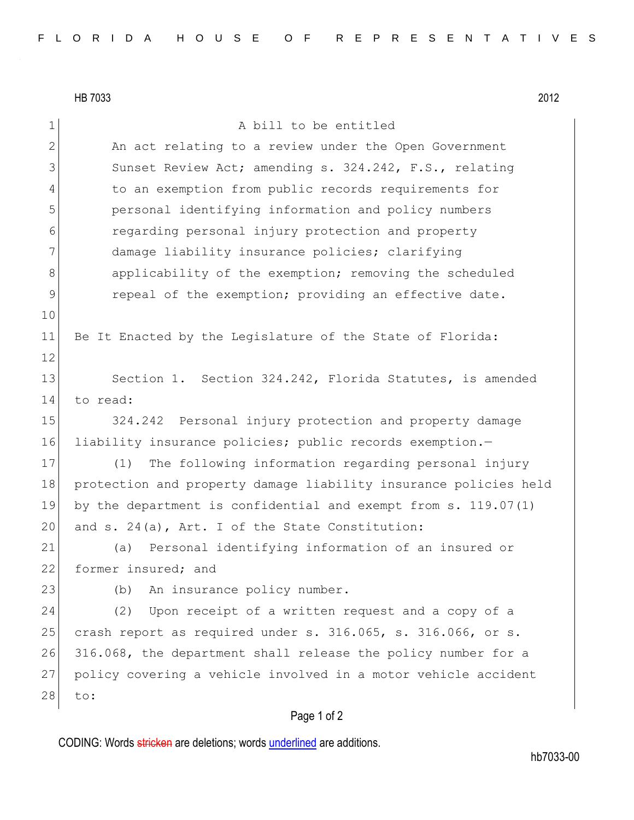|                | HB 7033<br>2012                                                  |
|----------------|------------------------------------------------------------------|
| $\mathbf 1$    | A bill to be entitled                                            |
| $\overline{2}$ | An act relating to a review under the Open Government            |
| 3              | Sunset Review Act; amending s. 324.242, F.S., relating           |
| 4              | to an exemption from public records requirements for             |
| 5              | personal identifying information and policy numbers              |
| 6              | regarding personal injury protection and property                |
| 7              | damage liability insurance policies; clarifying                  |
| 8              | applicability of the exemption; removing the scheduled           |
| 9              | repeal of the exemption; providing an effective date.            |
| 10             |                                                                  |
| 11             | Be It Enacted by the Legislature of the State of Florida:        |
| 12             |                                                                  |
| 13             | Section 1. Section 324.242, Florida Statutes, is amended         |
| 14             | to read:                                                         |
| 15             | Personal injury protection and property damage<br>324.242        |
| 16             | liability insurance policies; public records exemption.-         |
| 17             | The following information regarding personal injury<br>(1)       |
| 18             | protection and property damage liability insurance policies held |
| 19             | by the department is confidential and exempt from $s. 119.07(1)$ |
| 20             | and s. 24(a), Art. I of the State Constitution:                  |
| 21             | Personal identifying information of an insured or<br>(a)         |
| 22             | former insured; and                                              |
| 23             | An insurance policy number.<br>(b)                               |
| 24             | Upon receipt of a written request and a copy of a<br>(2)         |
| 25             | crash report as required under s. 316.065, s. 316.066, or s.     |
| 26             | 316.068, the department shall release the policy number for a    |
| 27             | policy covering a vehicle involved in a motor vehicle accident   |
| 28             | to:                                                              |

## Page 1 of 2

CODING: Words stricken are deletions; words underlined are additions.